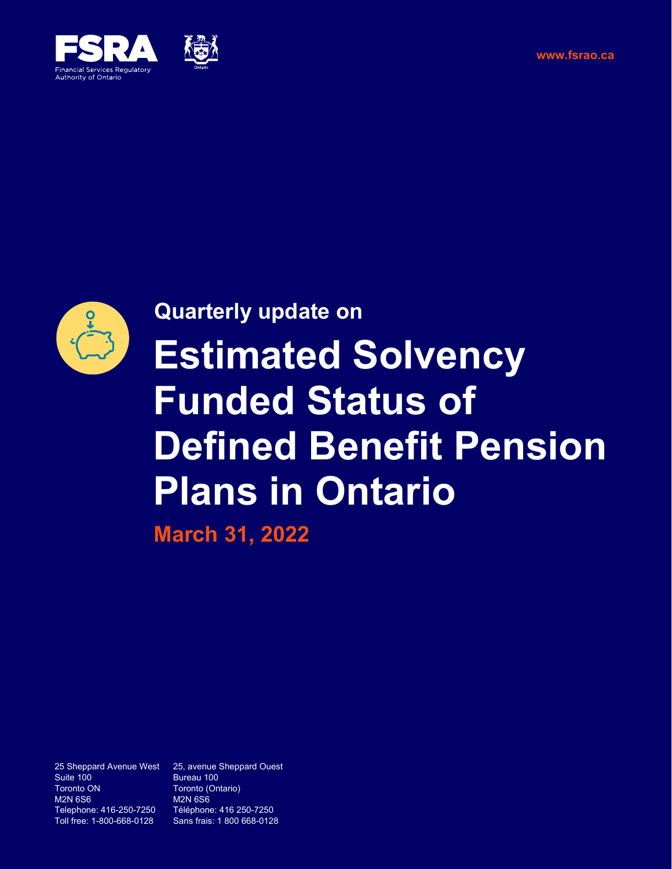**www.fsrao.ca [www.fsrao.ca](http://www.fsrao.ca)**







# **Estimated Solvency Funded Status of Defined Benefit Pension Plans in Ontario Quarterly update on**

**March 31, 2022** 

25 Sheppard Avenue West 25, avenue Sheppard Ouest Toronto ON Toronto (Ontario) M2N 6S6 M2N 6S6 Telephone: 416-250-7250 Téléphone: 416 250-7250

Bureau 100 Toll free: 1-800-668-0128 Sans frais: 1 800 668-0128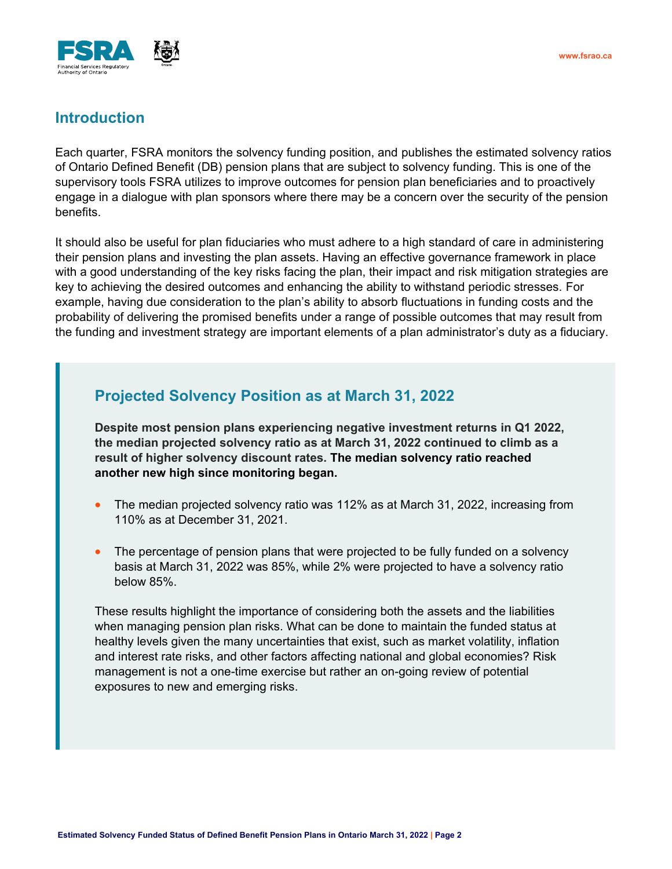

# **Introduction**

Each quarter, FSRA monitors the solvency funding position, and publishes the estimated solvency ratios of Ontario Defined Benefit (DB) pension plans that are subject to solvency funding. This is one of the supervisory tools FSRA utilizes to improve outcomes for pension plan beneficiaries and to proactively engage in a dialogue with plan sponsors where there may be a concern over the security of the pension benefits.

It should also be useful for plan fiduciaries who must adhere to a high standard of care in administering their pension plans and investing the plan assets. Having an effective governance framework in place with a good understanding of the key risks facing the plan, their impact and risk mitigation strategies are key to achieving the desired outcomes and enhancing the ability to withstand periodic stresses. For example, having due consideration to the plan's ability to absorb fluctuations in funding costs and the probability of delivering the promised benefits under a range of possible outcomes that may result from the funding and investment strategy are important elements of a plan administrator's duty as a fiduciary.

## **Projected Solvency Position as at March 31, 2022**

**Despite most pension plans experiencing negative investment returns in Q1 2022, the median projected solvency ratio as at March 31, 2022 continued to climb as a result of higher solvency discount rates. The median solvency ratio reached another new high since monitoring began.**

- The median projected solvency ratio was 112% as at March 31, 2022, increasing from 110% as at December 31, 2021.
- The percentage of pension plans that were projected to be fully funded on a solvency basis at March 31, 2022 was 85%, while 2% were projected to have a solvency ratio below 85%.

These results highlight the importance of considering both the assets and the liabilities when managing pension plan risks. What can be done to maintain the funded status at healthy levels given the many uncertainties that exist, such as market volatility, inflation and interest rate risks, and other factors affecting national and global economies? Risk management is not a one-time exercise but rather an on-going review of potential exposures to new and emerging risks.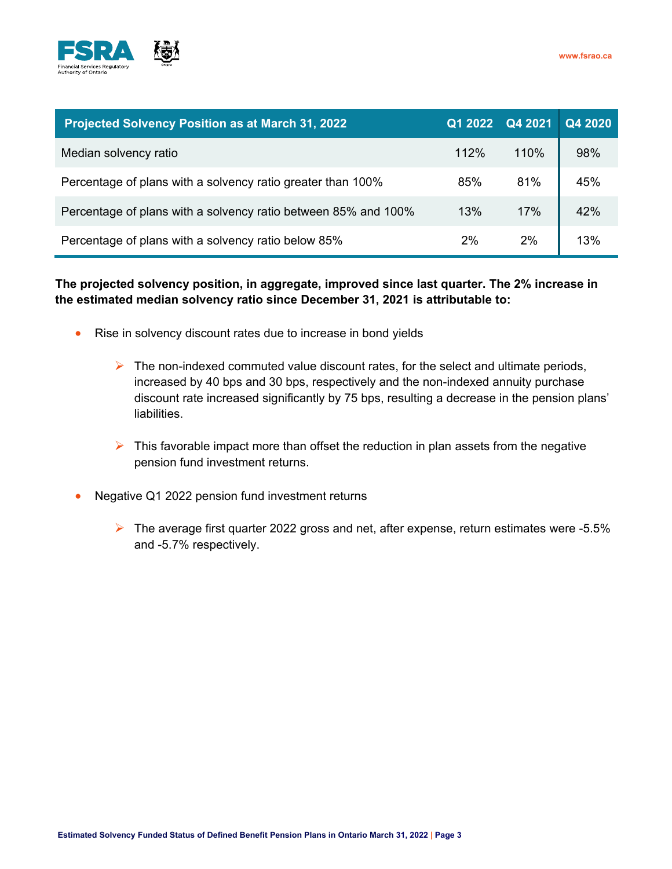

| <b>Projected Solvency Position as at March 31, 2022</b>        | Q1 2022 | Q4 2021 | Q4 2020 |
|----------------------------------------------------------------|---------|---------|---------|
| Median solvency ratio                                          | 112%    | 110%    | 98%     |
| Percentage of plans with a solvency ratio greater than 100%    | 85%     | 81%     | 45%     |
| Percentage of plans with a solvency ratio between 85% and 100% | 13%     | 17%     | 42%     |
| Percentage of plans with a solvency ratio below 85%            | 2%      | 2%      | 13%     |

## **The projected solvency position, in aggregate, improved since last quarter. The 2% increase in the estimated median solvency ratio since December 31, 2021 is attributable to:**

- Rise in solvency discount rates due to increase in bond yields
	- $\triangleright$  The non-indexed commuted value discount rates, for the select and ultimate periods, increased by 40 bps and 30 bps, respectively and the non-indexed annuity purchase discount rate increased significantly by 75 bps, resulting a decrease in the pension plans' liabilities.
	- $\triangleright$  This favorable impact more than offset the reduction in plan assets from the negative pension fund investment returns.
- Negative Q1 2022 pension fund investment returns
	- ➢ The average first quarter 2022 gross and net, after expense, return estimates were -5.5% and -5.7% respectively.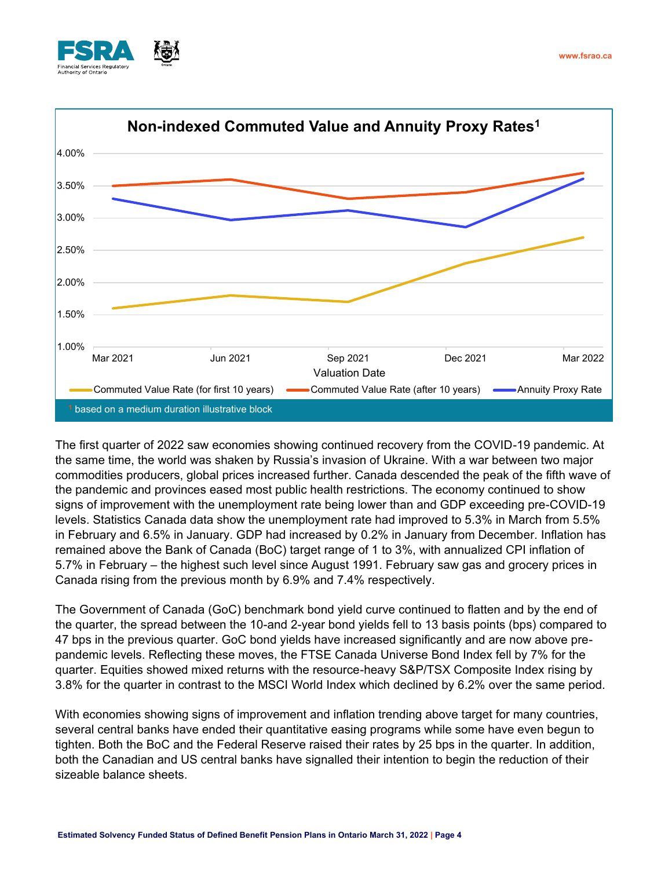<span id="page-3-1"></span>



<span id="page-3-0"></span>The first quarter of 2022 saw economies showing continued recovery from the COVID-19 pandemic. At the same time, the world was shaken by Russia's invasion of Ukraine. With a war between two major commodities producers, global prices increased further. Canada descended the peak of the fifth wave of the pandemic and provinces eased most public health restrictions. The economy continued to show signs of improvement with the unemployment rate being lower than and GDP exceeding pre-COVID-19 levels. Statistics Canada data show the unemployment rate had improved to 5.3% in March from 5.5% in February and 6.5% in January. GDP had increased by 0.2% in January from December. Inflation has remained above the Bank of Canada (BoC) target range of 1 to 3%, with annualized CPI inflation of 5.7% in February – the highest such level since August 1991. February saw gas and grocery prices in Canada rising from the previous month by 6.9% and 7.4% respectively.

The Government of Canada (GoC) benchmark bond yield curve continued to flatten and by the end of the quarter, the spread between the 10-and 2-year bond yields fell to 13 basis points (bps) compared to 47 bps in the previous quarter. GoC bond yields have increased significantly and are now above prepandemic levels. Reflecting these moves, the FTSE Canada Universe Bond Index fell by 7% for the quarter. Equities showed mixed returns with the resource-heavy S&P/TSX Composite Index rising by 3.8% for the quarter in contrast to the MSCI World Index which declined by 6.2% over the same period.

With economies showing signs of improvement and inflation trending above target for many countries, several central banks have ended their quantitative easing programs while some have even begun to tighten. Both the BoC and the Federal Reserve raised their rates by 25 bps in the quarter. In addition, both the Canadian and US central banks have signalled their intention to begin the reduction of their sizeable balance sheets.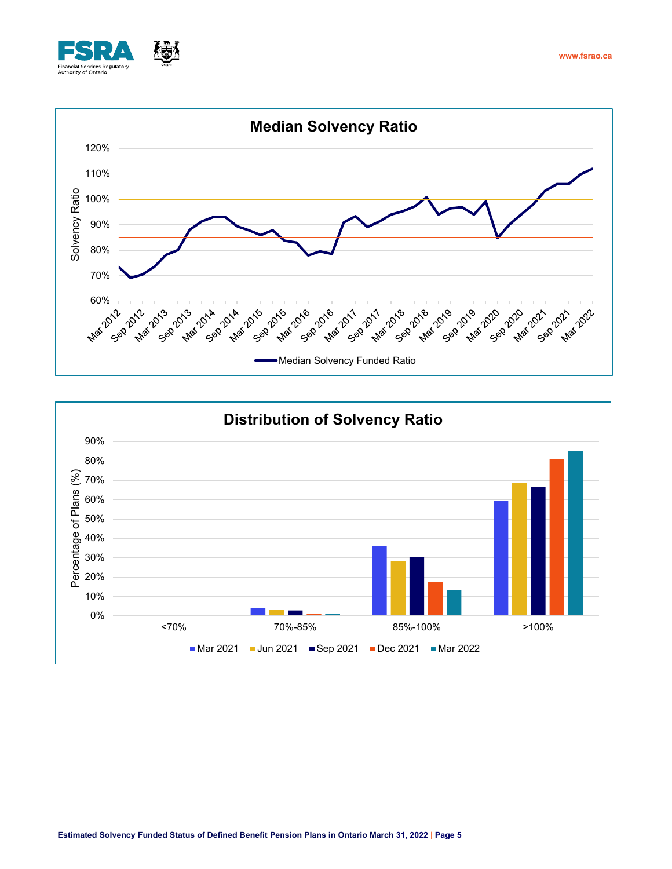